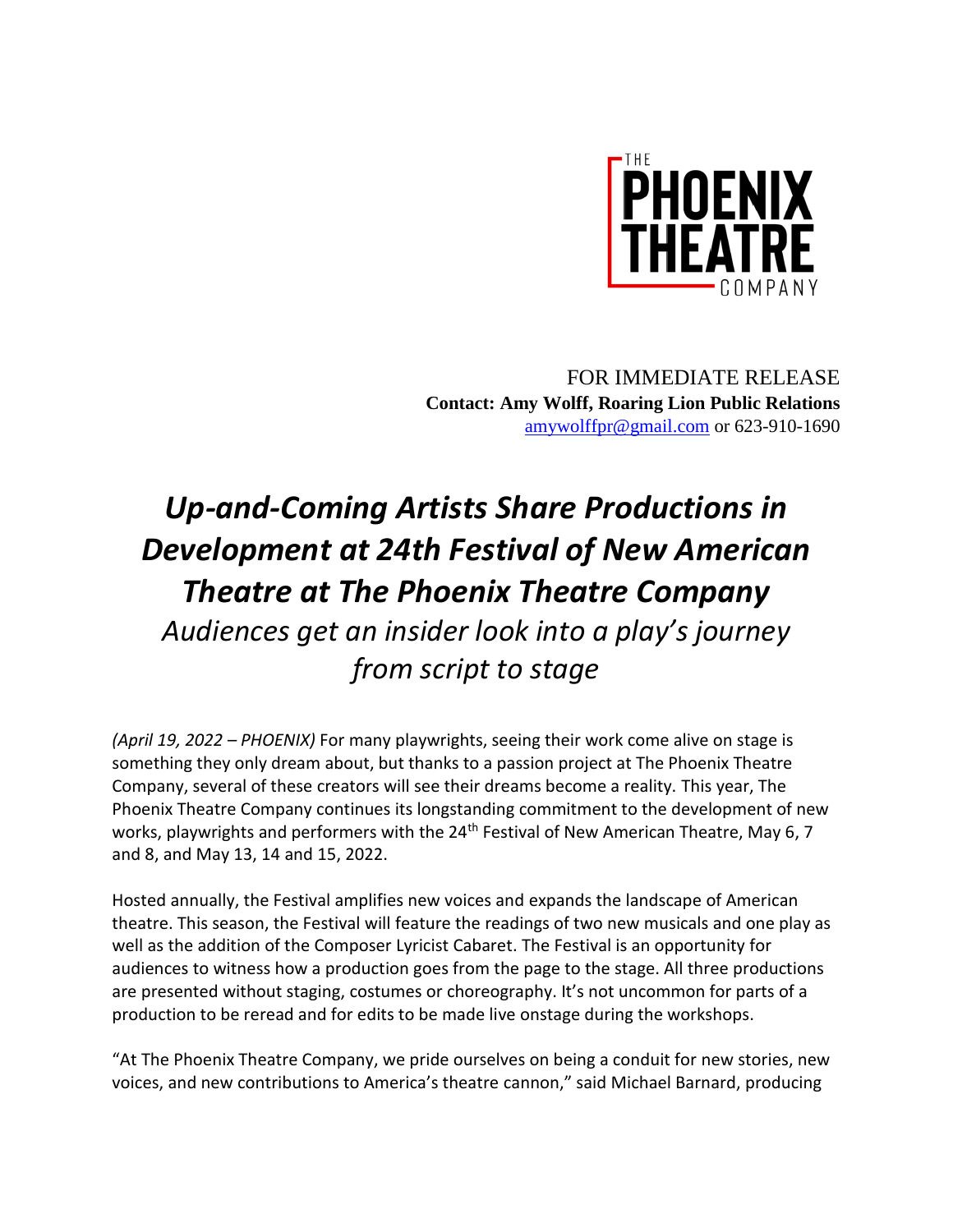

FOR IMMEDIATE RELEASE **Contact: Amy Wolff, Roaring Lion Public Relations** [amywolffpr@gmail.com](mailto:amywolffpr@gmail.com) or 623-910-1690

## *Up-and-Coming Artists Share Productions in Development at 24th Festival of New American Theatre at The Phoenix Theatre Company Audiences get an insider look into a play's journey from script to stage*

*(April 19, 2022 – PHOENIX)* For many playwrights, seeing their work come alive on stage is something they only dream about, but thanks to a passion project at The Phoenix Theatre Company, several of these creators will see their dreams become a reality. This year, The Phoenix Theatre Company continues its longstanding commitment to the development of new works, playwrights and performers with the 24<sup>th</sup> Festival of New American Theatre, May 6, 7 and 8, and May 13, 14 and 15, 2022.

Hosted annually, the Festival amplifies new voices and expands the landscape of American theatre. This season, the Festival will feature the readings of two new musicals and one play as well as the addition of the Composer Lyricist Cabaret. The Festival is an opportunity for audiences to witness how a production goes from the page to the stage. All three productions are presented without staging, costumes or choreography. It's not uncommon for parts of a production to be reread and for edits to be made live onstage during the workshops.

"At The Phoenix Theatre Company, we pride ourselves on being a conduit for new stories, new voices, and new contributions to America's theatre cannon," said Michael Barnard, producing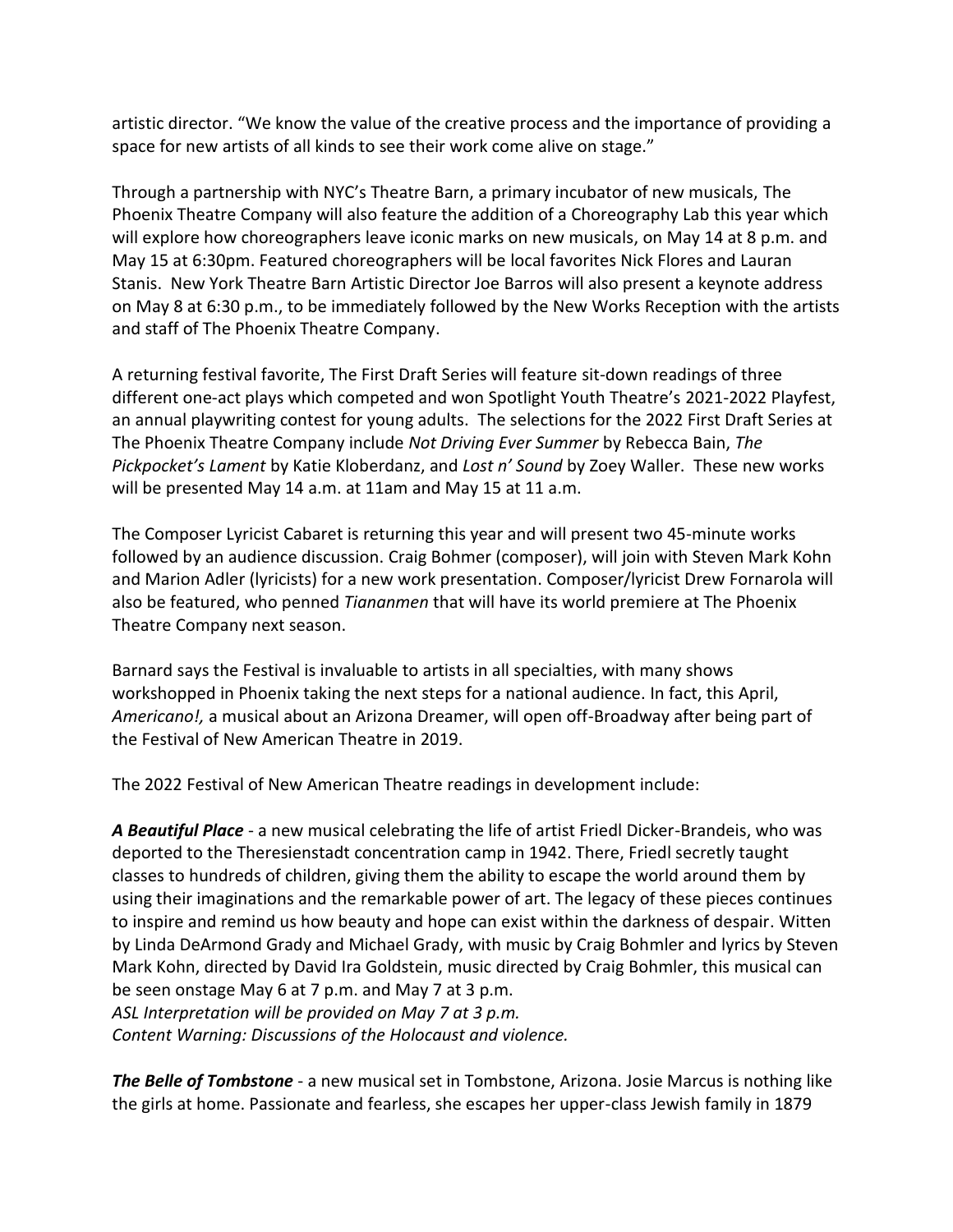artistic director. "We know the value of the creative process and the importance of providing a space for new artists of all kinds to see their work come alive on stage."

Through a partnership with NYC's Theatre Barn, a primary incubator of new musicals, The Phoenix Theatre Company will also feature the addition of a Choreography Lab this year which will explore how choreographers leave iconic marks on new musicals, on May 14 at 8 p.m. and May 15 at 6:30pm. Featured choreographers will be local favorites Nick Flores and Lauran Stanis. New York Theatre Barn Artistic Director Joe Barros will also present a keynote address on May 8 at 6:30 p.m., to be immediately followed by the New Works Reception with the artists and staff of The Phoenix Theatre Company.

A returning festival favorite, The First Draft Series will feature sit-down readings of three different one-act plays which competed and won Spotlight Youth Theatre's 2021-2022 Playfest, an annual playwriting contest for young adults. The selections for the 2022 First Draft Series at The Phoenix Theatre Company include *Not Driving Ever Summer* by Rebecca Bain, *The Pickpocket's Lament* by Katie Kloberdanz, and *Lost n' Sound* by Zoey Waller. These new works will be presented May 14 a.m. at 11am and May 15 at 11 a.m.

The Composer Lyricist Cabaret is returning this year and will present two 45-minute works followed by an audience discussion. Craig Bohmer (composer), will join with Steven Mark Kohn and Marion Adler (lyricists) for a new work presentation. Composer/lyricist Drew Fornarola will also be featured, who penned *Tiananmen* that will have its world premiere at The Phoenix Theatre Company next season.

Barnard says the Festival is invaluable to artists in all specialties, with many shows workshopped in Phoenix taking the next steps for a national audience. In fact, this April, *Americano!,* a musical about an Arizona Dreamer, will open off-Broadway after being part of the Festival of New American Theatre in 2019.

The 2022 Festival of New American Theatre readings in development include:

*A Beautiful Place* - a new musical celebrating the life of artist Friedl Dicker-Brandeis, who was deported to the Theresienstadt concentration camp in 1942. There, Friedl secretly taught classes to hundreds of children, giving them the ability to escape the world around them by using their imaginations and the remarkable power of art. The legacy of these pieces continues to inspire and remind us how beauty and hope can exist within the darkness of despair. Witten by Linda DeArmond Grady and Michael Grady, with music by Craig Bohmler and lyrics by Steven Mark Kohn, directed by David Ira Goldstein, music directed by Craig Bohmler, this musical can be seen onstage May 6 at 7 p.m. and May 7 at 3 p.m. *ASL Interpretation will be provided on May 7 at 3 p.m.*

*Content Warning: Discussions of the Holocaust and violence.*

*The Belle of Tombstone* - a new musical set in Tombstone, Arizona. Josie Marcus is nothing like the girls at home. Passionate and fearless, she escapes her upper-class Jewish family in 1879